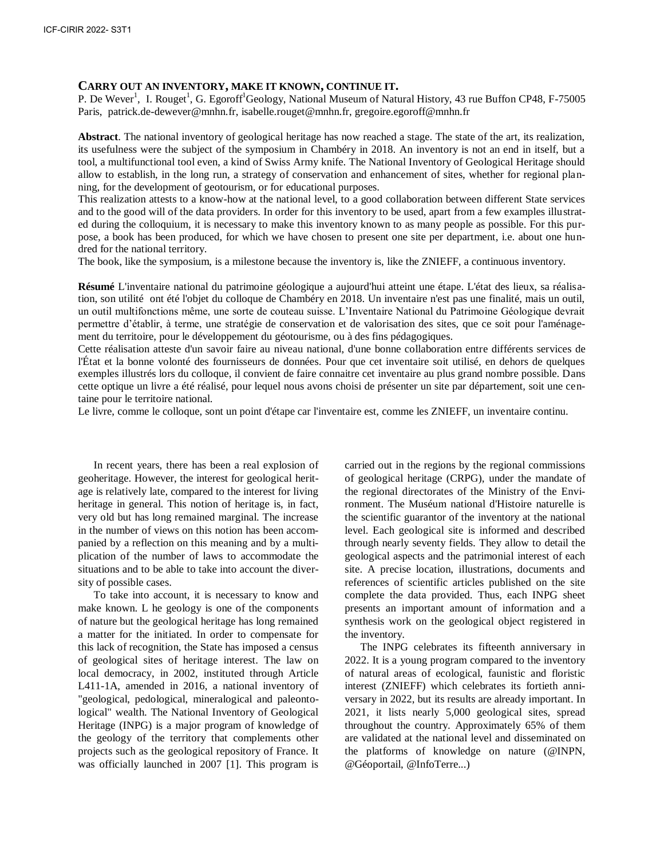## **CARRY OUT AN INVENTORY, MAKE IT KNOWN, CONTINUE IT.**

P. De Wever<sup>1</sup>, I. Rouget<sup>1</sup>, G. Egoroff<sup>1</sup>Geology, National Museum of Natural History, 43 rue Buffon CP48, F-75005 Paris, patrick.de-dewever@mnhn.fr, isabelle.rouget@mnhn.fr, gregoire.egoroff@mnhn.fr

**Abstract**. The national inventory of geological heritage has now reached a stage. The state of the art, its realization, its usefulness were the subject of the symposium in Chambéry in 2018. An inventory is not an end in itself, but a tool, a multifunctional tool even, a kind of Swiss Army knife. The National Inventory of Geological Heritage should allow to establish, in the long run, a strategy of conservation and enhancement of sites, whether for regional planning, for the development of geotourism, or for educational purposes.

This realization attests to a know-how at the national level, to a good collaboration between different State services and to the good will of the data providers. In order for this inventory to be used, apart from a few examples illustrated during the colloquium, it is necessary to make this inventory known to as many people as possible. For this purpose, a book has been produced, for which we have chosen to present one site per department, i.e. about one hundred for the national territory.

The book, like the symposium, is a milestone because the inventory is, like the ZNIEFF, a continuous inventory.

**Résumé** L'inventaire national du patrimoine géologique a aujourd'hui atteint une étape. L'état des lieux, sa réalisation, son utilité ont été l'objet du colloque de Chambéry en 2018. Un inventaire n'est pas une finalité, mais un outil, un outil multifonctions même, une sorte de couteau suisse. L'Inventaire National du Patrimoine Géologique devrait permettre d'établir, à terme, une stratégie de conservation et de valorisation des sites, que ce soit pour l'aménagement du territoire, pour le développement du géotourisme, ou à des fins pédagogiques.

Cette réalisation atteste d'un savoir faire au niveau national, d'une bonne collaboration entre différents services de l'État et la bonne volonté des fournisseurs de données. Pour que cet inventaire soit utilisé, en dehors de quelques exemples illustrés lors du colloque, il convient de faire connaitre cet inventaire au plus grand nombre possible. Dans cette optique un livre a été réalisé, pour lequel nous avons choisi de présenter un site par département, soit une centaine pour le territoire national.

Le livre, comme le colloque, sont un point d'étape car l'inventaire est, comme les ZNIEFF, un inventaire continu.

In recent years, there has been a real explosion of geoheritage. However, the interest for geological heritage is relatively late, compared to the interest for living heritage in general. This notion of heritage is, in fact, very old but has long remained marginal. The increase in the number of views on this notion has been accompanied by a reflection on this meaning and by a multiplication of the number of laws to accommodate the situations and to be able to take into account the diversity of possible cases.

To take into account, it is necessary to know and make known. L he geology is one of the components of nature but the geological heritage has long remained a matter for the initiated. In order to compensate for this lack of recognition, the State has imposed a census of geological sites of heritage interest. The law on local democracy, in 2002, instituted through Article L411-1A, amended in 2016, a national inventory of "geological, pedological, mineralogical and paleontological" wealth. The National Inventory of Geological Heritage (INPG) is a major program of knowledge of the geology of the territory that complements other projects such as the geological repository of France. It was officially launched in 2007 [1]. This program is carried out in the regions by the regional commissions of geological heritage (CRPG), under the mandate of the regional directorates of the Ministry of the Environment. The Muséum national d'Histoire naturelle is the scientific guarantor of the inventory at the national level. Each geological site is informed and described through nearly seventy fields. They allow to detail the geological aspects and the patrimonial interest of each site. A precise location, illustrations, documents and references of scientific articles published on the site complete the data provided. Thus, each INPG sheet presents an important amount of information and a synthesis work on the geological object registered in the inventory.

The INPG celebrates its fifteenth anniversary in 2022. It is a young program compared to the inventory of natural areas of ecological, faunistic and floristic interest (ZNIEFF) which celebrates its fortieth anniversary in 2022, but its results are already important. In 2021, it lists nearly 5,000 geological sites, spread throughout the country. Approximately 65% of them are validated at the national level and disseminated on the platforms of knowledge on nature (@INPN, @Géoportail, @InfoTerre...)